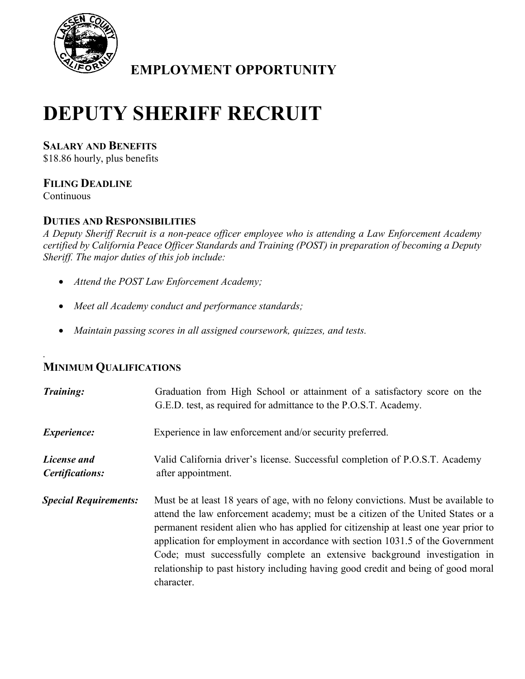

**EMPLOYMENT OPPORTUNITY**

# **DEPUTY SHERIFF RECRUIT**

**SALARY AND BENEFITS**

\$18.86 hourly, plus benefits

## **FILING DEADLINE**

Continuous

*.*

### **DUTIES AND RESPONSIBILITIES**

*A Deputy Sheriff Recruit is a non-peace officer employee who is attending a Law Enforcement Academy certified by California Peace Officer Standards and Training (POST) in preparation of becoming a Deputy Sheriff. The major duties of this job include:*

- *Attend the POST Law Enforcement Academy;*
- *Meet all Academy conduct and performance standards;*
- *Maintain passing scores in all assigned coursework, quizzes, and tests.*

## **MINIMUM QUALIFICATIONS**

| Training:                      | Graduation from High School or attainment of a satisfactory score on the<br>G.E.D. test, as required for admittance to the P.O.S.T. Academy.                                                                                                                                                                                                                                                                                                                                                                                   |
|--------------------------------|--------------------------------------------------------------------------------------------------------------------------------------------------------------------------------------------------------------------------------------------------------------------------------------------------------------------------------------------------------------------------------------------------------------------------------------------------------------------------------------------------------------------------------|
| <i>Experience:</i>             | Experience in law enforcement and/or security preferred.                                                                                                                                                                                                                                                                                                                                                                                                                                                                       |
| License and<br>Certifications: | Valid California driver's license. Successful completion of P.O.S.T. Academy<br>after appointment.                                                                                                                                                                                                                                                                                                                                                                                                                             |
| <b>Special Requirements:</b>   | Must be at least 18 years of age, with no felony convictions. Must be available to<br>attend the law enforcement academy; must be a citizen of the United States or a<br>permanent resident alien who has applied for citizenship at least one year prior to<br>application for employment in accordance with section 1031.5 of the Government<br>Code; must successfully complete an extensive background investigation in<br>relationship to past history including having good credit and being of good moral<br>character. |